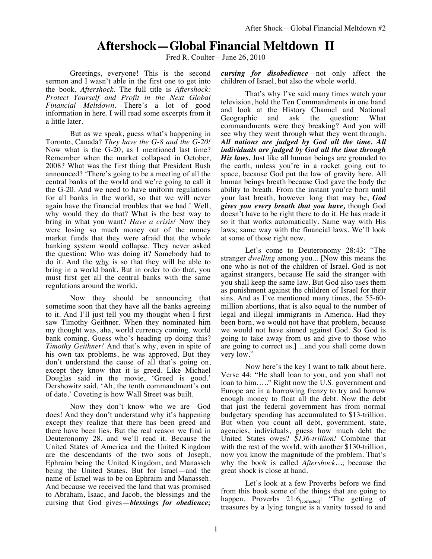## **Aftershock—Global Financial Meltdown II**

Fred R. Coulter—June 26, 2010

Greetings, everyone! This is the second sermon and I wasn't able in the first one to get into the book, *Aftershock.* The full title is *Aftershock: Protect Yourself and Profit in the Next Global Financial Meltdown*. There's a lot of good information in here. I will read some excerpts from it a little later.

But as we speak, guess what's happening in Toronto, Canada? *They have the G-8 and the G-20!* Now what is the G-20, as I mentioned last time? Remember when the market collapsed in October, 2008? What was the first thing that President Bush announced? 'There's going to be a meeting of all the central banks of the world and we're going to call it the G-20. And we need to have uniform regulations for all banks in the world, so that we will never again have the financial troubles that we had.' Well, why would they do that? What is the best way to bring in what you want? *Have a crisis!* Now they were losing so much money out of the money market funds that they were afraid that the whole banking system would collapse. They never asked the question: Who was doing it? Somebody had to do it. And the why is so that they will be able to bring in a world bank. But in order to do that, you must first get all the central banks with the same regulations around the world.

Now they should be announcing that sometime soon that they have all the banks agreeing to it. And I'll just tell you my thought when I first saw Timothy Geithner. When they nominated him my thought was, aha, world currency coming. world bank coming. Guess who's heading up doing this? *Timothy Geithner!* And that's why, even in spite of his own tax problems, he was approved. But they don't understand the cause of all that's going on, except they know that it is greed. Like Michael Douglas said in the movie, 'Greed is good.' Dershowitz said, 'Ah, the tenth commandment's out of date.' Coveting is how Wall Street was built.

Now they don't know who we are—God does! And they don't understand why it's happening except they realize that there has been greed and there have been lies. But the real reason we find in Deuteronomy 28, and we'll read it. Because the United States of America and the United Kingdom are the descendants of the two sons of Joseph, Ephraim being the United Kingdom, and Manasseh being the United States. But for Israel—and the name of Israel was to be on Ephraim and Manasseh. And because we received the land that was promised to Abraham, Isaac, and Jacob, the blessings and the cursing that God gives—*blessings for obedience;* 

*cursing for disobedience*—not only affect the children of Israel, but also the whole world.

That's why I've said many times watch your television, hold the Ten Commandments in one hand and look at the History Channel and National Geographic and ask the question: What commandments were they breaking? And you will see why they went through what they went through. *All nations are judged by God all the time. All individuals are judged by God all the time through His laws.* Just like all human beings are grounded to the earth, unless you're in a rocket going out to space, because God put the law of gravity here. All human beings breath because God gave the body the ability to breath. From the instant you're born until your last breath, however long that may be, *God gives you every breath that you have,* though God doesn't have to be right there to do it. He has made it so it that works automatically. Same way with His laws; same way with the financial laws. We'll look at some of those right now.

Let's come to Deuteronomy 28:43: "The stranger *dwelling* among you... [Now this means the one who is not of the children of Israel. God is not against strangers, because He said the stranger with you shall keep the same law. But God also uses them as punishment against the children of Israel for their sins. And as I've mentioned many times, the 55-60 million abortions, that is also equal to the number of legal and illegal immigrants in America. Had they been born, we would not have that problem, because we would not have sinned against God. So God is going to take away from us and give to those who are going to correct us.] ...and you shall come down very low."

Now here's the key I want to talk about here. Verse 44: "He shall loan to you, and you shall not loan to him….." Right now the U.S. government and Europe are in a borrowing frenzy to try and borrow enough money to float all the debt. Now the debt that just the federal government has from normal budgetary spending has accumulated to \$13-trillion. But when you count all debt, government, state, agencies, individuals, guess how much debt the United States owes? *\$136-trillion!* Combine that with the rest of the world, with another \$130-trillion, now you know the magnitude of the problem. That's why the book is called *Aftershock…*; because the great shock is close at hand.

Let's look at a few Proverbs before we find from this book some of the things that are going to happen. Proverbs 21:6<sub>[corrected]</sub>: "The getting of treasures by a lying tongue is a vanity tossed to and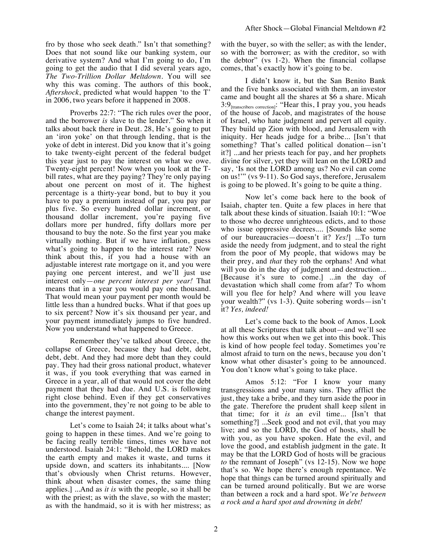fro by those who seek death." Isn't that something? Does that not sound like our banking system, our derivative system? And what I'm going to do, I'm going to get the audio that I did several years ago, *The Two-Trillion Dollar Meltdown*. You will see why this was coming. The authors of this book, *Aftershock*, predicted what would happen 'to the T' in 2006, two years before it happened in 2008.

Proverbs 22:7: "The rich rules over the poor, and the borrower *is* slave to the lender." So when it talks about back there in Deut. 28, He's going to put an 'iron yoke' on that through lending, that is the yoke of debt in interest. Did you know that it's going to take twenty-eight percent of the federal budget this year just to pay the interest on what we owe. Twenty-eight percent! Now when you look at the Tbill rates, what are they paying? They're only paying about one percent on most of it. The highest percentage is a thirty-year bond, but to buy it you have to pay a premium instead of par, you pay par plus five. So every hundred dollar increment, or thousand dollar increment, you're paying five dollars more per hundred, fifty dollars more per thousand to buy the note. So the first year you make virtually nothing. But if we have inflation, guess what's going to happen to the interest rate? Now think about this, if you had a house with an adjustable interest rate mortgage on it, and you were paying one percent interest, and we'll just use interest only—*one percent interest per year!* That means that in a year you would pay one thousand. That would mean your payment per month would be little less than a hundred bucks. What if that goes up to six percent? Now it's six thousand per year, and your payment immediately jumps to five hundred. Now you understand what happened to Greece.

Remember they've talked about Greece, the collapse of Greece, because they had debt, debt, debt, debt. And they had more debt than they could pay. They had their gross national product, whatever it was, if you took everything that was earned in Greece in a year, all of that would not cover the debt payment that they had due. And U.S. is following right close behind. Even if they get conservatives into the government, they're not going to be able to change the interest payment.

Let's come to Isaiah 24; it talks about what's going to happen in these times. And we're going to be facing really terrible times, times we have not understood. Isaiah 24:1: "Behold, the LORD makes the earth empty and makes it waste, and turns it upside down, and scatters its inhabitants.... [Now that's obviously when Christ returns. However, think about when disaster comes, the same thing applies.] ...And as *it is* with the people, so it shall be with the priest; as with the slave, so with the master; as with the handmaid, so it is with her mistress; as with the buyer, so with the seller; as with the lender, so with the borrower; as with the creditor, so with the debtor" (vs 1-2). When the financial collapse comes, that's exactly how it's going to be.

I didn't know it, but the San Benito Bank and the five banks associated with them, an investor came and bought all the shares at \$6 a share. Micah  $3:9$ <sub>[transcribers correction]</sub>: "Hear this, I pray you, you heads of the house of Jacob, and magistrates of the house of Israel, who hate judgment and pervert all equity. They build up Zion with blood, and Jerusalem with iniquity. Her heads judge for a bribe... [Isn't that something? That's called political donation—isn't it?] ...and her priests teach for pay, and her prophets divine for silver, yet they will lean on the LORD and say, 'Is not the LORD among us? No evil can come on us!'" (vs 9-11). So God says, therefore, Jerusalem is going to be plowed. It's going to be quite a thing.

Now let's come back here to the book of Isaiah, chapter ten. Quite a few places in here that talk about these kinds of situation. Isaiah 10:1: "Woe to those who decree unrighteous edicts, and to those who issue oppressive decrees.... [Sounds like some of our bureaucracies—doesn't it? *Yes!*] ...To turn aside the needy from judgment, and to steal the right from the poor of My people, that widows may be their prey, and *that* they rob the orphans! And what will you do in the day of judgment and destruction... [Because it's sure to come.] ...in the day of devastation which shall come from afar? To whom will you flee for help? And where will you leave your wealth?" (vs 1-3). Quite sobering words—isn't it? *Yes, indeed!*

Let's come back to the book of Amos. Look at all these Scriptures that talk about—and we'll see how this works out when we get into this book. This is kind of how people feel today. Sometimes you're almost afraid to turn on the news, because you don't know what other disaster's going to be announced. You don't know what's going to take place.

Amos 5:12: "For I know your many transgressions and your many sins. They afflict the just, they take a bribe, and they turn aside the poor in the gate. Therefore the prudent shall keep silent in that time; for it *is* an evil time... [Isn't that something?] ...Seek good and not evil, that you may live; and so the LORD, the God of hosts, shall be with you, as you have spoken. Hate the evil, and love the good, and establish judgment in the gate. It may be that the LORD God of hosts will be gracious *to* the remnant of Joseph" (vs 12-15). Now we hope that's so. We hope there's enough repentance. We hope that things can be turned around spiritually and can be turned around politically. But we are worse than between a rock and a hard spot. *We're between a rock and a hard spot and drowning in debt!*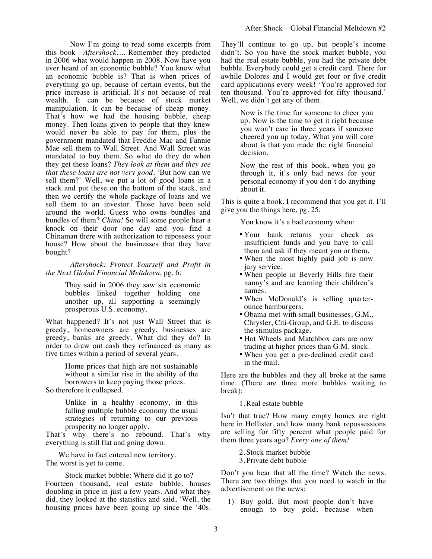Now I'm going to read some excerpts from this book—*Aftershock…*. Remember they predicted in 2006 what would happen in 2008. Now have you ever heard of an economic bubble? You know what an economic bubble is? That is when prices of everything go up, because of certain events, but the price increase is artificial. It's not because of real wealth. It can be because of stock market manipulation. It can be because of cheap money. That's how we had the housing bubble, cheap money. Then loans given to people that they knew would never be able to pay for them, plus the government mandated that Freddie Mac and Fannie Mae sell them to Wall Street. And Wall Street was mandated to buy them. So what do they do when they get these loans? *They look at them and they see that these loans are not very good.* 'But how can we sell them?' Well, we put a lot of good loans in a stack and put these on the bottom of the stack, and then we certify the whole package of loans and we sell them to an investor. Those have been sold around the world. Guess who owns bundles and bundles of them? *China!* So will some people hear a knock on their door one day and you find a Chinaman there with authorization to repossess your house? How about the businesses that they have bought?

*Aftershock: Protect Yourself and Profit in the Next Global Financial Meltdown,* pg. 6:

> They said in 2006 they saw six economic bubbles linked together holding one another up, all supporting a seemingly prosperous U.S. economy.

What happened? It's not just Wall Street that is greedy, homeowners are greedy, businesses are greedy, banks are greedy. What did they do? In order to draw out cash they refinanced as many as five times within a period of several years.

Home prices that high are not sustainable without a similar rise in the ability of the borrowers to keep paying those prices. So therefore it collapsed.

> Unlike in a healthy economy, in this falling multiple bubble economy the usual strategies of returning to our previous prosperity no longer apply.

That's why there's no rebound. That's why everything is still flat and going down.

We have in fact entered new territory. The worst is yet to come.

Stock market bubble: Where did it go to? Fourteen thousand, real estate bubble, houses doubling in price in just a few years. And what they did, they looked at the statistics and said, 'Well, the housing prices have been going up since the '40s. They'll continue to go up, but people's income didn't. So you have the stock market bubble, you had the real estate bubble, you had the private debt bubble. Everybody could get a credit card. There for awhile Dolores and I would get four or five credit card applications every week! 'You're approved for ten thousand. You're approved for fifty thousand.' Well, we didn't get any of them.

> Now is the time for someone to cheer you up. Now is the time to get it right because you won't care in three years if someone cheered you up today. What you will care about is that you made the right financial decision.

Now the rest of this book, when you go through it, it's only bad news for your personal economy if you don't do anything about it.

This is quite a book. I recommend that you get it. I'll give you the things here, pg. 25:

You know it's a bad economy when:

- Your bank returns your check as insufficient funds and you have to call them and ask if they meant you or them.
- When the most highly paid job is now jury service.
- When people in Beverly Hills fire their nanny's and are learning their children's names.
- When McDonald's is selling quarterounce hamburgers.
- Obama met with small businesses, G.M., Chrysler, Citi-Group, and G.E. to discuss the stimulus package.
- Hot Wheels and Matchbox cars are now trading at higher prices than G.M. stock.
- When you get a pre-declined credit card in the mail.

Here are the bubbles and they all broke at the same time. (There are three more bubbles waiting to break):

1.Real estate bubble

Isn't that true? How many empty homes are right here in Hollister, and how many bank repossessions are selling for fifty percent what people paid for them three years ago? *Every one of them!*

> 2. Stock market bubble 3. Private debt bubble

Don't you hear that all the time? Watch the news. There are two things that you need to watch in the advertisement on the news:

1) Buy gold. But most people don't have enough to buy gold, because when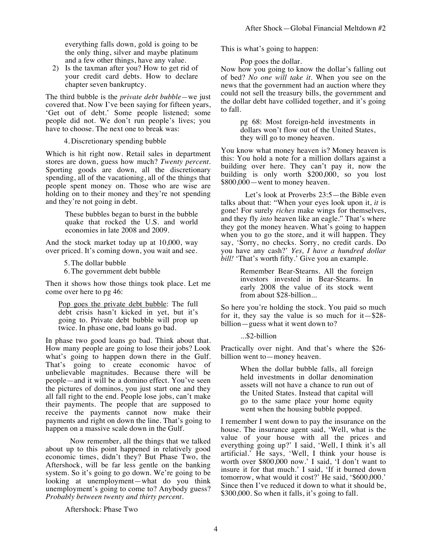everything falls down, gold is going to be the only thing, silver and maybe platinum and a few other things, have any value.

2) Is the taxman after you? How to get rid of your credit card debts. How to declare chapter seven bankruptcy.

The third bubble is the *private debt bubble—*we just covered that. Now I've been saying for fifteen years, 'Get out of debt.' Some people listened; some people did not. We don't run people's lives; you have to choose. The next one to break was:

4. Discretionary spending bubble

Which is hit right now. Retail sales in department stores are down, guess how much? *Twenty percent*. Sporting goods are down, all the discretionary spending, all of the vacationing, all of the things that people spent money on. Those who are wise are holding on to their money and they're not spending and they're not going in debt.

> These bubbles began to burst in the bubble quake that rocked the U.S. and world economies in late 2008 and 2009.

And the stock market today up at 10,000, way over priced. It's coming down, you wait and see.

5. The dollar bubble

6. The government debt bubble

Then it shows how those things took place. Let me come over here to pg 46:

Pop goes the private debt bubble: The full debt crisis hasn't kicked in yet, but it's going to. Private debt bubble will prop up twice. In phase one, bad loans go bad.

In phase two good loans go bad. Think about that. How many people are going to lose their jobs? Look what's going to happen down there in the Gulf. That's going to create economic havoc of unbelievable magnitudes. Because there will be people—and it will be a domino effect. You've seen the pictures of dominos, you just start one and they all fall right to the end. People lose jobs, can't make their payments. The people that are supposed to receive the payments cannot now make their payments and right on down the line. That's going to happen on a massive scale down in the Gulf.

Now remember, all the things that we talked about up to this point happened in relatively good economic times, didn't they? But Phase Two, the Aftershock, will be far less gentle on the banking system. So it's going to go down. We're going to be looking at unemployment—what do you think unemployment's going to come to? Anybody guess? *Probably between twenty and thirty percent*.

Aftershock: Phase Two

This is what's going to happen:

Pop goes the dollar.

Now how you going to know the dollar's falling out of bed? *No one will take it*. When you see on the news that the government had an auction where they could not sell the treasury bills, the government and the dollar debt have collided together, and it's going to fall.

> pg 68: Most foreign-held investments in dollars won't flow out of the United States, they will go to money heaven.

You know what money heaven is? Money heaven is this: You hold a note for a million dollars against a building over here. They can't pay it, now the building is only worth \$200,000, so you lost \$800,000—went to money heaven.

Let's look at Proverbs 23:5—the Bible even talks about that: "When your eyes look upon it, *it* is gone! For surely *riches* make wings for themselves, and they fly *into* heaven like an eagle." That's where they got the money heaven. What's going to happen when you to go the store, and it will happen. They say, 'Sorry, no checks. Sorry, no credit cards. Do you have any cash?' *Yes, I have a hundred dollar bill!* 'That's worth fifty.' Give you an example.

> Remember Bear-Stearns. All the foreign investors invested in Bear-Stearns. In early 2008 the value of its stock went from about \$28-billion...

So here you're holding the stock. You paid so much for it, they say the value is so much for it—\$28 billion—guess what it went down to?

...\$2-billion

Practically over night. And that's where the \$26 billion went to—money heaven.

> When the dollar bubble falls, all foreign held investments in dollar denomination assets will not have a chance to run out of the United States. Instead that capital will go to the same place your home equity went when the housing bubble popped.

I remember I went down to pay the insurance on the house. The insurance agent said, 'Well, what is the value of your house with all the prices and everything going up?' I said, 'Well, I think it's all artificial.' He says, 'Well, I think your house is worth over \$800,000 now.' I said, 'I don't want to insure it for that much.' I said, 'If it burned down tomorrow, what would it cost?' He said, '\$600,000.' Since then I've reduced it down to what it should be, \$300,000. So when it falls, it's going to fall.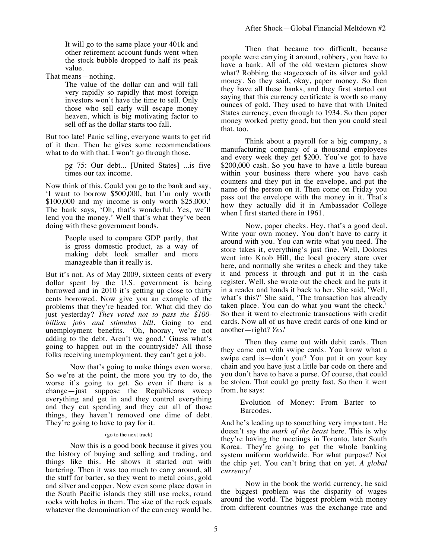It will go to the same place your 401k and other retirement account funds went when the stock bubble dropped to half its peak value.

That means—nothing.

The value of the dollar can and will fall very rapidly so rapidly that most foreign investors won't have the time to sell. Only those who sell early will escape money heaven, which is big motivating factor to sell off as the dollar starts too fall.

But too late! Panic selling, everyone wants to get rid of it then. Then he gives some recommendations what to do with that. I won't go through those.

> pg 75: Our debt... [United States] ...is five times our tax income.

Now think of this. Could you go to the bank and say, 'I want to borrow \$500,000, but I'm only worth \$100,000 and my income is only worth \$25,000.' The bank says, 'Oh, that's wonderful. Yes, we'll lend you the money.' Well that's what they've been doing with these government bonds.

> People used to compare GDP partly, that is gross domestic product, as a way of making debt look smaller and more manageable than it really is.

But it's not. As of May 2009, sixteen cents of every dollar spent by the U.S. government is being borrowed and in 2010 it's getting up close to thirty cents borrowed. Now give you an example of the problems that they're headed for. What did they do just yesterday? *They voted not to pass the \$100 billion jobs and stimulus bill.* Going to end unemployment benefits. 'Oh, hooray, we're not adding to the debt. Aren't we good.' Guess what's going to happen out in the countryside? All those folks receiving unemployment, they can't get a job.

Now that's going to make things even worse. So we're at the point, the more you try to do, the worse it's going to get. So even if there is a change—just suppose the Republicans sweep everything and get in and they control everything and they cut spending and they cut all of those things, they haven't removed one dime of debt. They're going to have to pay for it.

## (go to the next track)

Now this is a good book because it gives you the history of buying and selling and trading, and things like this. He shows it started out with bartering. Then it was too much to carry around, all the stuff for barter, so they went to metal coins, gold and silver and copper. Now even some place down in the South Pacific islands they still use rocks, round rocks with holes in them. The size of the rock equals whatever the denomination of the currency would be.

Then that became too difficult, because people were carrying it around, robbery, you have to have a bank. All of the old western pictures show what? Robbing the stagecoach of its silver and gold money. So they said, okay, paper money. So then they have all these banks, and they first started out saying that this currency certificate is worth so many ounces of gold. They used to have that with United States currency, even through to 1934. So then paper money worked pretty good, but then you could steal that, too.

Think about a payroll for a big company, a manufacturing company of a thousand employees and every week they get \$200. You've got to have \$200,000 cash. So you have to have a little bureau within your business there where you have cash counters and they put in the envelope, and put the name of the person on it. Then come on Friday you pass out the envelope with the money in it. That's how they actually did it in Ambassador College when I first started there in 1961.

Now, paper checks. Hey, that's a good deal. Write your own money. You don't have to carry it around with you. You can write what you need. The store takes it, everything's just fine. Well, Dolores went into Knob Hill, the local grocery store over here, and normally she writes a check and they take it and process it through and put it in the cash register. Well, she wrote out the check and he puts it in a reader and hands it back to her. She said, 'Well, what's this?' She said, 'The transaction has already taken place. You can do what you want the check.' So then it went to electronic transactions with credit cards. Now all of us have credit cards of one kind or another—right? *Yes!*

Then they came out with debit cards. Then they came out with swipe cards. You know what a swipe card is—don't you? You put it on your key chain and you have just a little bar code on there and you don't have to have a purse. Of course, that could be stolen. That could go pretty fast. So then it went from, he says:

> Evolution of Money: From Barter to Barcodes.

And he's leading up to something very important. He doesn't say the *mark of the beast* here. This is why they're having the meetings in Toronto, later South Korea. They're going to get the whole banking system uniform worldwide. For what purpose? Not the chip yet. You can't bring that on yet. *A global currency!*

Now in the book the world currency, he said the biggest problem was the disparity of wages around the world. The biggest problem with money from different countries was the exchange rate and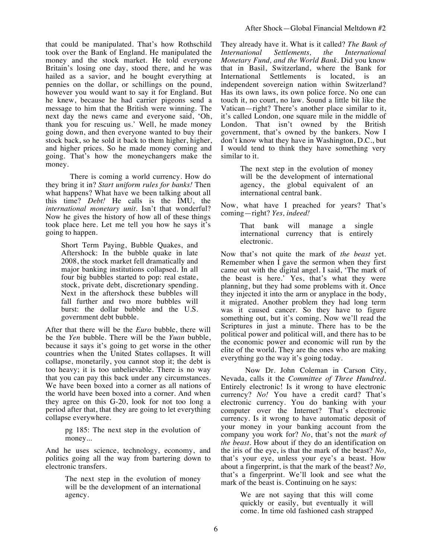that could be manipulated. That's how Rothschild took over the Bank of England. He manipulated the money and the stock market. He told everyone Britain's losing one day, stood there, and he was hailed as a savior, and he bought everything at pennies on the dollar, or schillings on the pound, however you would want to say it for England. But he knew, because he had carrier pigeons send a message to him that the British were winning. The next day the news came and everyone said, 'Oh, thank you for rescuing us.' Well, he made money going down, and then everyone wanted to buy their stock back, so he sold it back to them higher, higher, and higher prices. So he made money coming and going. That's how the moneychangers make the money.

There is coming a world currency. How do they bring it in? *Start uniform rules for banks!* Then what happens? What have we been talking about all this time? *Debt!* He calls is the IMU, the *international monetary unit*. Isn't that wonderful? Now he gives the history of how all of these things took place here. Let me tell you how he says it's going to happen.

Short Term Paying, Bubble Quakes, and Aftershock: In the bubble quake in late 2008, the stock market fell dramatically and major banking institutions collapsed. In all four big bubbles started to pop: real estate, stock, private debt, discretionary spending. Next in the aftershock these bubbles will fall further and two more bubbles will burst: the dollar bubble and the U.S. government debt bubble.

After that there will be the *Euro* bubble, there will be the *Yen* bubble. There will be the *Yuan* bubble, because it says it's going to get worse in the other countries when the United States collapses. It will collapse, monetarily, you cannot stop it; the debt is too heavy; it is too unbelievable. There is no way that you can pay this back under any circumstances. We have been boxed into a corner as all nations of the world have been boxed into a corner. And when they agree on this G-20, look for not too long a period after that, that they are going to let everything collapse everywhere.

> pg 185: The next step in the evolution of money...

And he uses science, technology, economy, and politics going all the way from bartering down to electronic transfers.

> The next step in the evolution of money will be the development of an international agency.

They already have it. What is it called? *The Bank of International Settlements, the International Monetary Fund, and the World Bank.* Did you know that in Basil, Switzerland, where the Bank for International Settlements is located, is an independent sovereign nation within Switzerland? Has its own laws, its own police force. No one can touch it, no court, no law. Sound a little bit like the Vatican—right? There's another place similar to it, it's called London, one square mile in the middle of London. That isn't owned by the British government, that's owned by the bankers. Now I don't know what they have in Washington, D.C., but I would tend to think they have something very similar to it.

> The next step in the evolution of money will be the development of international agency, the global equivalent of an international central bank.

Now, what have I preached for years? That's coming—right? *Yes, indeed!*

> That bank will manage a single international currency that is entirely electronic.

Now that's not quite the mark of *the beast* yet. Remember when I gave the sermon when they first came out with the digital angel. I said, 'The mark of the beast is here.' Yes, that's what they were planning, but they had some problems with it. Once they injected it into the arm or anyplace in the body, it migrated. Another problem they had long term was it caused cancer. So they have to figure something out, but it's coming. Now we'll read the Scriptures in just a minute. There has to be the political power and political will, and there has to be the economic power and economic will run by the elite of the world. They are the ones who are making everything go the way it's going today.

Now Dr. John Coleman in Carson City, Nevada, calls it the *Committee of Three Hundred*. Entirely electronic! Is it wrong to have electronic currency? *No!* You have a credit card? That's electronic currency. You do banking with your computer over the Internet? That's electronic currency. Is it wrong to have automatic deposit of your money in your banking account from the company you work for? *No*, that's not the *mark of the beast.* How about if they do an identification on the iris of the eye, is that the mark of the beast? *No,* that's your eye, unless your eye's a beast. How about a fingerprint, is that the mark of the beast? *No,* that's a fingerprint. We'll look and see what the mark of the beast is. Continuing on he says:

> We are not saying that this will come quickly or easily, but eventually it will come. In time old fashioned cash strapped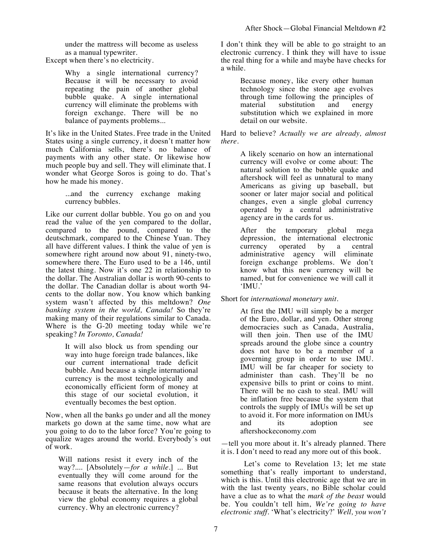under the mattress will become as useless as a manual typewriter.

Except when there's no electricity.

Why a single international currency? Because it will be necessary to avoid repeating the pain of another global bubble quake. A single international currency will eliminate the problems with foreign exchange. There will be no balance of payments problems...

It's like in the United States. Free trade in the United States using a single currency, it doesn't matter how much California sells, there's no balance of payments with any other state. Or likewise how much people buy and sell. They will eliminate that. I wonder what George Soros is going to do. That's how he made his money.

> ...and the currency exchange making currency bubbles.

Like our current dollar bubble. You go on and you read the value of the yen compared to the dollar, compared to the pound, compared to the deutschmark, compared to the Chinese Yuan. They all have different values. I think the value of yen is somewhere right around now about 91, ninety-two, somewhere there. The Euro used to be a 146, until the latest thing. Now it's one 22 in relationship to the dollar. The Australian dollar is worth 90-cents to the dollar. The Canadian dollar is about worth 94 cents to the dollar now. You know which banking system wasn't affected by this meltdown? *One banking system in the world, Canada!* So they're making many of their regulations similar to Canada. Where is the G-20 meeting today while we're speaking? *In Toronto, Canada!*

> It will also block us from spending our way into huge foreign trade balances, like our current international trade deficit bubble. And because a single international currency is the most technologically and economically efficient form of money at this stage of our societal evolution, it eventually becomes the best option.

Now, when all the banks go under and all the money markets go down at the same time, now what are you going to do to the labor force? You're going to equalize wages around the world. Everybody's out of work.

Will nations resist it every inch of the way?.... [Absolutely—*for a while*.] ... But eventually they will come around for the same reasons that evolution always occurs because it beats the alternative. In the long view the global economy requires a global currency. Why an electronic currency?

I don't think they will be able to go straight to an electronic currency. I think they will have to issue the real thing for a while and maybe have checks for a while.

> Because money, like every other human technology since the stone age evolves through time following the principles of material substitution and energy substitution and energy substitution which we explained in more detail on our website.

Hard to believe? *Actually we are already, almost there.* 

> A likely scenario on how an international currency will evolve or come about: The natural solution to the bubble quake and aftershock will feel as unnatural to many Americans as giving up baseball, but sooner or later major social and political changes, even a single global currency operated by a central administrative agency are in the cards for us.

> After the temporary global mega depression, the international electronic currency operated by a central administrative agency will eliminate foreign exchange problems. We don't know what this new currency will be named, but for convenience we will call it 'IMU.'

Short for *international monetary unit*.

At first the IMU will simply be a merger of the Euro, dollar, and yen. Other strong democracies such as Canada, Australia, will then join. Then use of the IMU spreads around the globe since a country does not have to be a member of a governing group in order to use IMU. IMU will be far cheaper for society to administer than cash. They'll be no expensive bills to print or coins to mint. There will be no cash to steal. IMU will be inflation free because the system that controls the supply of IMUs will be set up to avoid it. For more information on IMUs and its adoption see aftershockeconomy.com

—tell you more about it. It's already planned. There it is. I don't need to read any more out of this book.

Let's come to Revelation 13; let me state something that's really important to understand, which is this. Until this electronic age that we are in with the last twenty years, no Bible scholar could have a clue as to what the *mark of the beast* would be. You couldn't tell him, *We're going to have electronic stuff*. 'What's electricity?' *Well, you won't*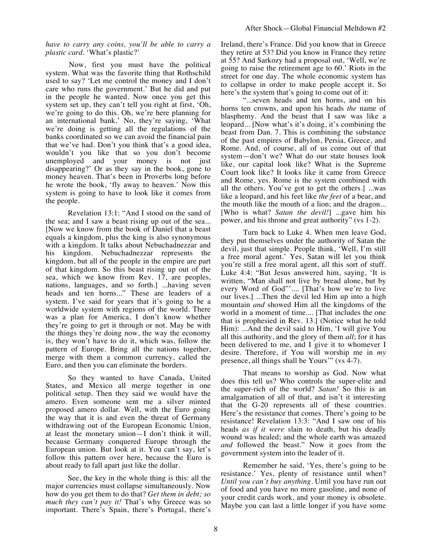*have to carry any coins, you'll be able to carry a plastic card*. 'What's plastic?'

Now, first you must have the political system. What was the favorite thing that Rothschild used to say? 'Let me control the money and I don't care who runs the government.' But he did and put in the people he wanted. Now once you get this system set up, they can't tell you right at first, 'Oh, we're going to do this. Oh, we're here planning for an international bank.' No, they're saying, 'What we're doing is getting all the regulations of the banks coordinated so we can avoid the financial pain that we've had. Don't you think that's a good idea, wouldn't you like that so you don't become unemployed and your money is not just disappearing?' Or as they say in the book, gone to money heaven. That's been in Proverbs long before he wrote the book, 'fly away to heaven.' Now this system is going to have to look like it comes from the people.

Revelation 13:1: "And I stood on the sand of the sea; and I saw a beast rising up out of the sea... [Now we know from the book of Daniel that a beast equals a kingdom, plus the king is also synonymous with a kingdom. It talks about Nebuchadnezzar and his kingdom. Nebuchadnezzar represents the kingdom, but all of the people in the empire are part of that kingdom. So this beast rising up out of the sea, which we know from Rev. 17, are peoples, nations, languages, and so forth.] ...having seven heads and ten horns..." These are leaders of a system. I've said for years that it's going to be a worldwide system with regions of the world. There was a plan for America, I don't know whether they're going to get it through or not. May be with the things they're doing now, the way the economy is, they won't have to do it, which was, follow the pattern of Europe. Bring all the nations together, merge with them a common currency, called the Euro, and then you can eliminate the borders.

So they wanted to have Canada, United States, and Mexico all merge together in one political setup. Then they said we would have the amero. Even someone sent me a silver minted proposed amero dollar. Well, with the Euro going the way that it is and even the threat of Germany withdrawing out of the European Economic Union, at least the monetary union—I don't think it will, because Germany conquered Europe through the European union. But look at it. You can't say, let's follow this pattern over here, because the Euro is about ready to fall apart just like the dollar.

See, the key in the whole thing is this: all the major currencies must collapse simultaneously. Now how do you get them to do that? *Get them in debt; so much they can't pay it!* That's why Greece was so important. There's Spain, there's Portugal, there's Ireland, there's France. Did you know that in Greece they retire at 53? Did you know in France they retire at 55? And Sarkozy had a proposal out, 'Well, we're going to raise the retirement age to 60.' Riots in the street for one day. The whole economic system has to collapse in order to make people accept it. So here's the system that's going to come out of it:

"...seven heads and ten horns, and on his horns ten crowns, and upon his heads *the* name of blasphemy. And the beast that I saw was like a leopard... [Now what's it's doing, it's combining the beast from Dan. 7. This is combining the substance of the past empires of Babylon, Persia, Greece, and Rome. And, of course, all of us come out of that system—don't we? What do our state houses look like, our capital look like? What is the Supreme Court look like? It looks like it came from Greece and Rome, yes. Rome is the system combined with all the others. You've got to get the others.] ...was like a leopard, and his feet like *the feet* of a bear, and the mouth like the mouth of a lion; and the dragon... [Who is what? *Satan the devil!*] ...gave him his power, and his throne and great authority" (vs 1-2).

Turn back to Luke 4. When men leave God, they put themselves under the authority of Satan the devil, just that simple. People think, 'Well, I'm still a free moral agent.' Yes, Satan will let you think you're still a free moral agent, all this sort of stuff. Luke 4:4: "But Jesus answered him, saying, 'It is written, "Man shall not live by bread alone, but by every Word of God"'.... [That's how we're to live our lives.] ...Then the devil led Him up into a high mountain *and* showed Him all the kingdoms of the world in a moment of time.... [That includes the one that is prophesied in Rev. 13.] (Notice what he told Him): ...And the devil said to Him, 'I will give You all this authority, and the glory of them *all*; for it has been delivered to me, and I give it to whomever I desire. Therefore, if You will worship me in *my*  presence, all things shall be Yours'" ( $vs$  4-7).

That means to worship as God. Now what does this tell us? Who controls the super-elite and the super-rich of the world? *Satan!* So this is an amalgamation of all of that, and isn't it interesting that the G-20 represents all of these countries. Here's the resistance that comes. There's going to be resistance! Revelation 13:3: "And I saw one of his heads *as if it were* slain to death, but his deadly wound was healed; and the whole earth was amazed *and* followed the beast." Now it goes from the government system into the leader of it.

Remember he said, 'Yes, there's going to be resistance.' Yes, plenty of resistance until when? *Until you can't buy anything*. Until you have run out of food and you have no more gasoline, and none of your credit cards work, and your money is obsolete. Maybe you can last a little longer if you have some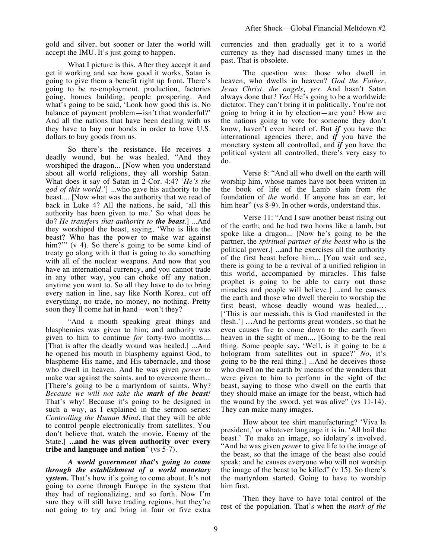gold and silver, but sooner or later the world will accept the IMU. It's just going to happen.

What I picture is this. After they accept it and get it working and see how good it works, Satan is going to give them a benefit right up front. There's going to be re-employment, production, factories going, homes building, people prospering. And what's going to be said, 'Look how good this is. No balance of payment problem—isn't that wonderful?' And all the nations that have been dealing with us they have to buy our bonds in order to have U.S. dollars to buy goods from us.

So there's the resistance. He receives a deadly wound, but he was healed. "And they worshiped the dragon... [Now when you understand about all world religions, they all worship Satan. What does it say of Satan in 2-Cor. 4:4? '*He's the god of this world.'*] ...who gave his authority to the beast.... [Now what was the authority that we read of back in Luke 4? All the nations, he said, 'all this authority has been given to me.' So what does he do? *He transfers that authority to the beast*.] ...And they worshiped the beast, saying, 'Who is like the beast? Who has the power to make war against him?"" (v 4). So there's going to be some kind of treaty go along with it that is going to do something with all of the nuclear weapons. And now that you have an international currency, and you cannot trade in any other way, you can choke off any nation, anytime you want to. So all they have to do to bring every nation in line, say like North Korea, cut off everything, no trade, no money, no nothing. Pretty soon they'll come hat in hand—won't they?

"And a mouth speaking great things and blasphemies was given to him; and authority was given to him to continue *for* forty-two months.... [That is after the deadly wound was healed.] ...And he opened his mouth in blasphemy against God, to blaspheme His name, and His tabernacle, and those who dwell in heaven. And he was given *power* to make war against the saints, and to overcome them... [There's going to be a martyrdom of saints. Why? *Because we will not take the mark of the beast!* That's why! Because it's going to be designed in such a way, as I explained in the sermon series: *Controlling the Human Mind*, that they will be able to control people electronically from satellites. You don't believe that, watch the movie, Enemy of the State.] **...and he was given authority over every tribe and language and nation**" (vs 5-7).

*A world government that's going to come through the establishment of a world monetary system.* That's how it's going to come about. It's not going to come through Europe in the system that they had of regionalizing, and so forth. Now I'm sure they will still have trading regions, but they're not going to try and bring in four or five extra currencies and then gradually get it to a world currency as they had discussed many times in the past. That is obsolete.

The question was: those who dwell in heaven, who dwells in heaven? *God the Father, Jesus Christ, the angels, yes.* And hasn't Satan always done that? *Yes!* He's going to be a worldwide dictator. They can't bring it in politically. You're not going to bring it in by election—are you? How are the nations going to vote for someone they don't know, haven't even heard of. But *if* you have the international agencies there, and *if* you have the monetary system all controlled, and *if* you have the political system all controlled, there's very easy to do.

Verse 8: "And all who dwell on the earth will worship him, whose names have not been written in the book of life of the Lamb slain from *the*  foundation of *the* world. If anyone has an ear, let him hear" (vs 8-9). In other words, understand this.

Verse 11: "And I saw another beast rising out of the earth; and he had two horns like a lamb, but spoke like a dragon... [Now he's going to be the partner, the *spiritual partner of the beast* who is the political power.] ...and he exercises all the authority of the first beast before him... [You wait and see, there is going to be a revival of a unified religion in this world, accompanied by miracles. This false prophet is going to be able to carry out those miracles and people will believe.] ...and he causes the earth and those who dwell therein to worship the first beast, whose deadly wound was healed…. ['This is our messiah, this is God manifested in the flesh.'] …And he performs great wonders, so that he even causes fire to come down to the earth from heaven in the sight of men.... [Going to be the real thing. Some people say, 'Well, is it going to be a hologram from satellites out in space?' *No,* it's going to be the real thing.] ...And he deceives those who dwell on the earth by means of the wonders that were given to him to perform in the sight of the beast, saying to those who dwell on the earth that they should make an image for the beast, which had the wound by the sword, yet was alive" (vs 11-14). They can make many images.

How about tee shirt manufacturing? 'Viva la president,' or whatever language it is in. 'All hail the beast.' To make an image, so idolatry's involved. "And he was given *power* to give life to the image of the beast, so that the image of the beast also could speak; and he causes everyone who will not worship the image of the beast to be killed"  $(v 15)$ . So there's the martyrdom started. Going to have to worship him first.

Then they have to have total control of the rest of the population. That's when the *mark of the*